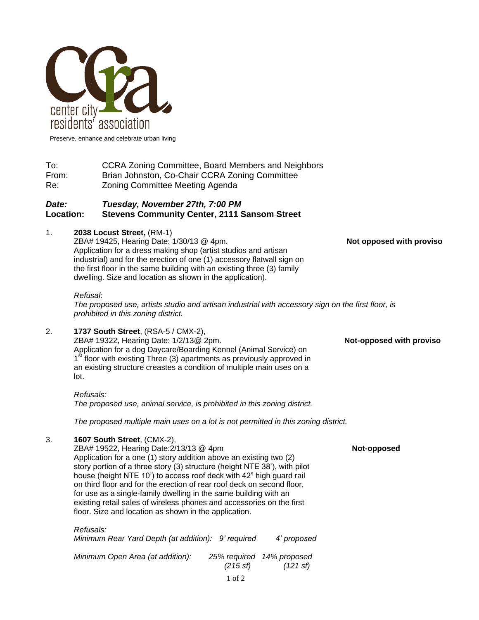

Preserve, enhance and celebrate urban living

To: CCRA Zoning Committee, Board Members and Neighbors From: Brian Johnston, Co-Chair CCRA Zoning Committee Re: Zoning Committee Meeting Agenda

## *Date: Tuesday, November 27th, 7:00 PM* **Location: Stevens Community Center, 2111 Sansom Street**

## 1. **2038 Locust Street,** (RM-1)

ZBA# 19425, Hearing Date: 1/30/13 @ 4pm. **Not opposed with proviso** Application for a dress making shop (artist studios and artisan industrial) and for the erection of one (1) accessory flatwall sign on the first floor in the same building with an existing three (3) family dwelling. Size and location as shown in the application).

## *Refusal:*

*The proposed use, artists studio and artisan industrial with accessory sign on the first floor, is prohibited in this zoning district.*

2. **1737 South Street**, (RSA-5 / CMX-2), ZBA# 19322, Hearing Date: 1/2/13@ 2pm. **Not-opposed with proviso** Application for a dog Daycare/Boarding Kennel (Animal Service) on 1<sup>st</sup> floor with existing Three (3) apartments as previously approved in an existing structure creastes a condition of multiple main uses on a lot.

*Refusals: The proposed use, animal service, is prohibited in this zoning district.*

*The proposed multiple main uses on a lot is not permitted in this zoning district.*

## 3. **1607 South Street**, (CMX-2),

ZBA# 19522, Hearing Date:2/13/13 @ 4pm **Not-opposed** Application for a one (1) story addition above an existing two (2) story portion of a three story (3) structure (height NTE 38'), with pilot house (height NTE 10') to access roof deck with 42" high guard rail on third floor and for the erection of rear roof deck on second floor, for use as a single-family dwelling in the same building with an existing retail sales of wireless phones and accessories on the first floor. Size and location as shown in the application.

# 1 of 2 *Refusals: Minimum Rear Yard Depth (at addition): 9' required 4' proposed Minimum Open Area (at addition): 25% required 14% proposed (215 sf) (121 sf)*